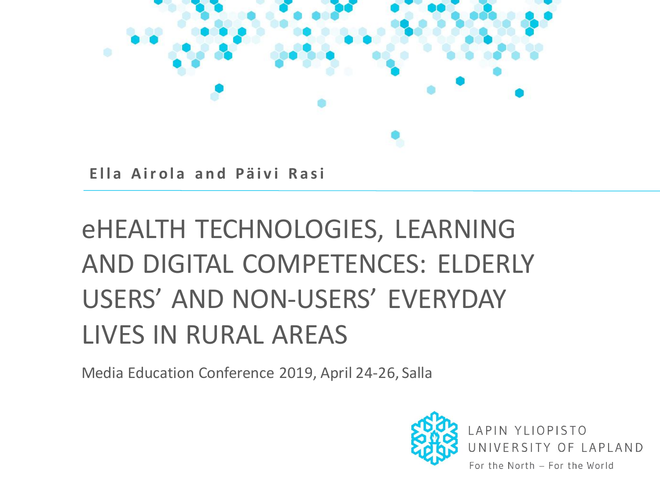

**Ella Airola and Päivi Rasi** 

# eHEALTH TECHNOLOGIES, LEARNING AND DIGITAL COMPETENCES: ELDERLY USERS' AND NON-USERS' EVERYDAY LIVES IN RURAL AREAS

Media Education Conference 2019, April 24-26, Salla

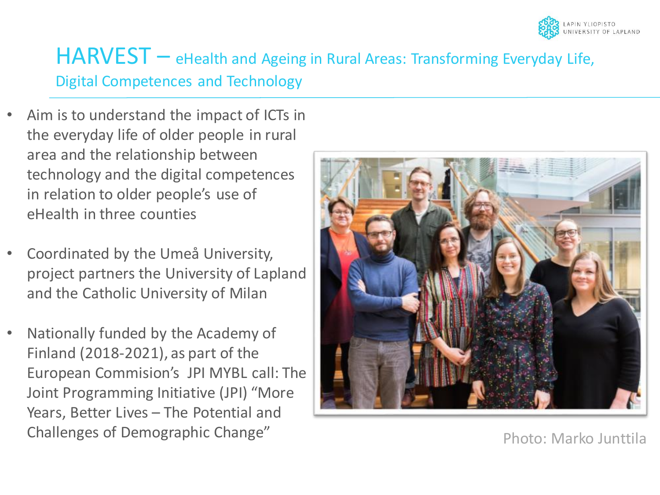

#### HARVEST - eHealth and Ageing in Rural Areas: Transforming Everyday Life, Digital Competences and Technology

- Aim is to understand the impact of ICTs in the everyday life of older people in rural area and the relationship between technology and the digital competences in relation to older people's use of eHealth in three counties
- Coordinated by the Umeå University, project partners the University of Lapland and the Catholic University of Milan
- Nationally funded by the Academy of Finland (2018-2021), as part of the European Commision's JPI MYBL call: The Joint Programming Initiative (JPI) "More Years, Better Lives – The Potential and Challenges of Demographic Change"



Photo: Marko Junttila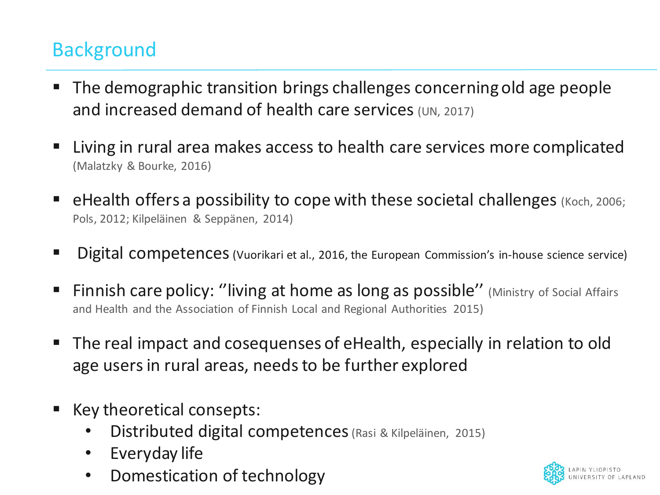# **Background**

- The demographic transition brings challenges concerning old age people and increased demand of health care services (UN, 2017)
- Living in rural area makes access to health care services more complicated (Malatzky & Bourke, 2016)
- **eHealth offers a possibility to cope with these societal challenges** (Koch, 2006; Pols, 2012; Kilpeläinen & Seppänen, 2014)
- Digital competences (Vuorikari et al., 2016, the European Commission's in-house science service)
- **Finnish care policy: "living at home as long as possible"** (Ministry of Social Affairs and Health and the Association of Finnish Local and Regional Authorities 2015)
- The real impact and cosequenses of eHealth, especially in relation to old age usersin rural areas, needsto be further explored
- Key theoretical consepts:
	- Distributed digital competences(Rasi & Kilpeläinen, 2015)
	- Everyday life
	- Domestication of technology

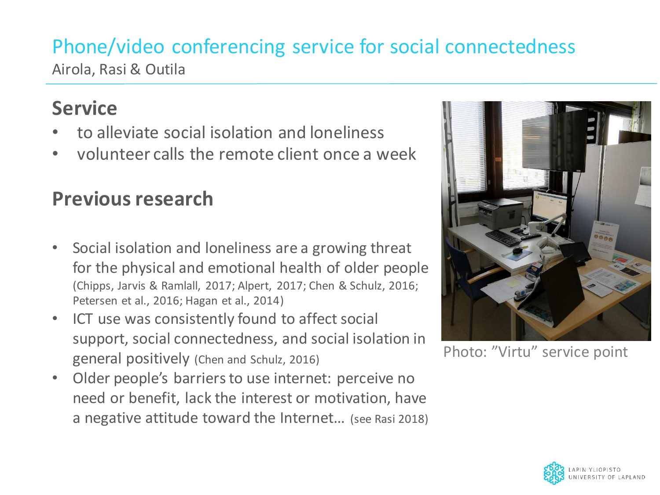#### Phone/video conferencing service for social connectedness Airola, Rasi & Outila

#### **Service**

- to alleviate social isolation and loneliness
- volunteer calls the remote client once a week

## **Previous research**

- Social isolation and loneliness are a growing threat for the physical and emotional health of older people (Chipps, Jarvis & Ramlall, 2017; Alpert, 2017; Chen & Schulz, 2016; Petersen et al., 2016; Hagan et al., 2014)
- ICT use was consistently found to affect social support, social connectedness, and social isolation in general positively (Chen and Schulz, 2016)
- Older people's barriers to use internet: perceive no need or benefit, lack the interest or motivation, have a negative attitude toward the Internet… (see Rasi 2018)



Photo: "Virtu" service point

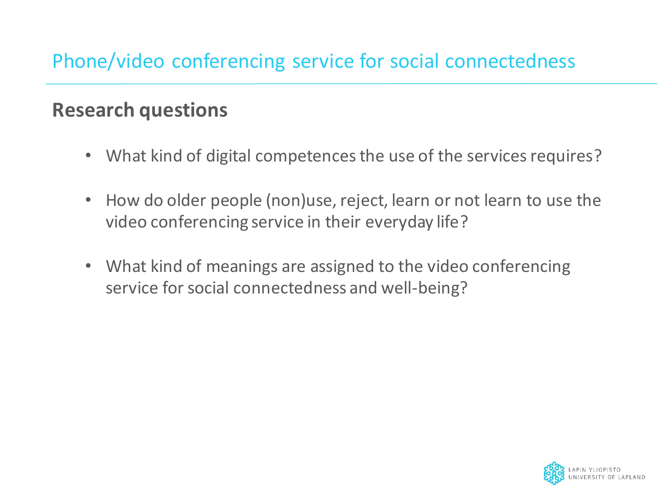#### **Research questions**

- What kind of digital competences the use of the services requires?
- How do older people (non)use, reject, learn or not learn to use the video conferencing service in their everyday life?
- What kind of meanings are assigned to the video conferencing service for social connectedness and well-being?

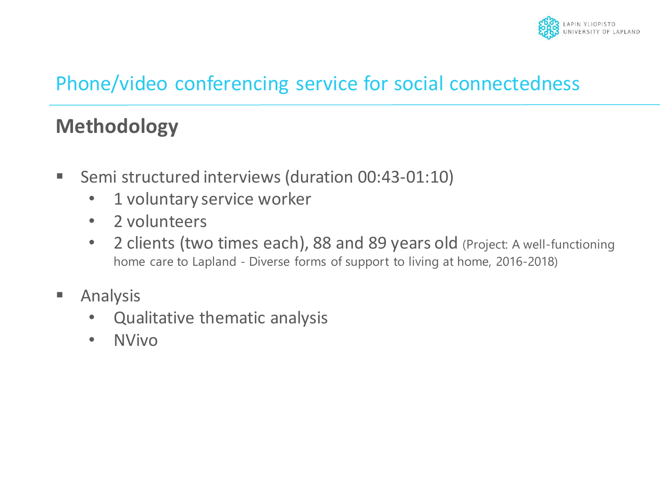

#### **Methodology**

- Semi structured interviews (duration 00:43-01:10)
	- 1 voluntary service worker
	- 2 volunteers
	- 2 clients (two times each), 88 and 89 years old (Project: A well-functioning home care to Lapland - Diverse forms of support to living at home, 2016-2018)
- Analysis
	- Qualitative thematic analysis
	- NVivo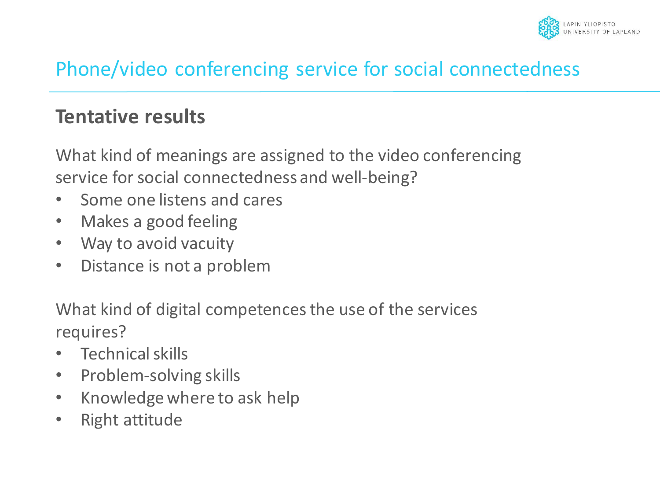

#### **Tentative results**

What kind of meanings are assigned to the video conferencing service for social connectedness and well-being?

- Some one listens and cares
- Makes a good feeling
- Way to avoid vacuity
- Distance is not a problem

What kind of digital competences the use of the services requires?

- Technical skills
- Problem-solving skills
- Knowledge where to ask help
- Right attitude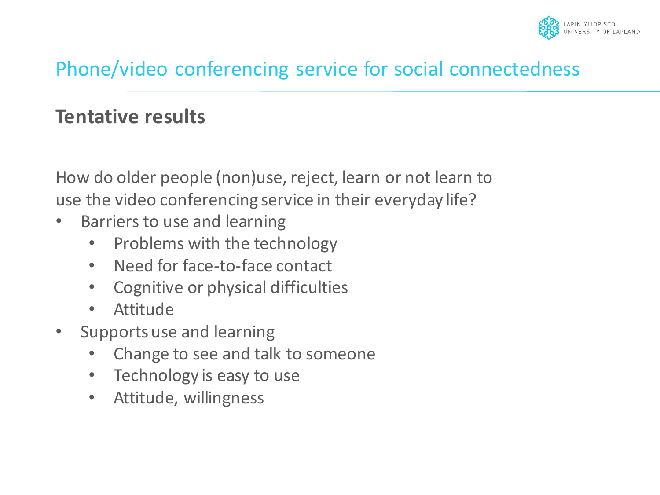

#### **Tentative results**

How do older people (non)use, reject, learn or not learn to use the video conferencing service in their everyday life?

- Barriers to use and learning
	- Problems with the technology
	- Need for face-to-face contact
	- Cognitive or physical difficulties
	- Attitude
- Supports use and learning
	- Change to see and talk to someone
	- Technology is easy to use
	- Attitude, willingness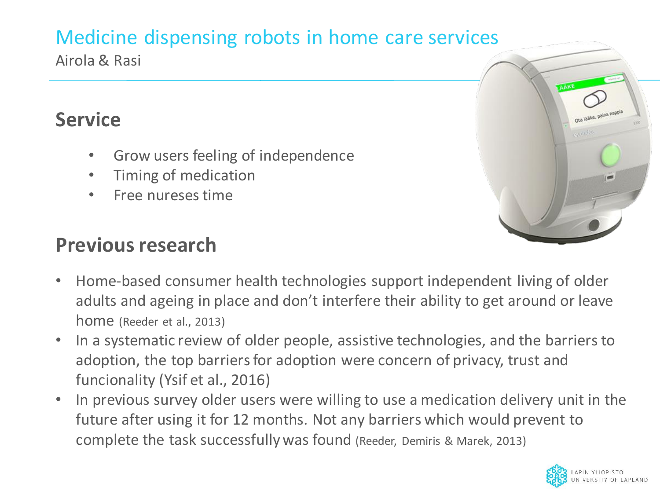# Medicine dispensing robots in home care services

Airola & Rasi

## **Service**

- Grow users feeling of independence
- Timing of medication
- Free nureses time

## **Previous research**



- Home-based consumer health technologies support independent living of older adults and ageing in place and don't interfere their ability to get around or leave home (Reeder et al., 2013)
- In a systematic review of older people, assistive technologies, and the barriers to adoption, the top barriers for adoption were concern of privacy, trust and funcionality (Ysif et al., 2016)
- In previous survey older users were willing to use a medication delivery unit in the future after using it for 12 months. Not any barriers which would prevent to complete the task successfully was found (Reeder, Demiris & Marek, 2013)

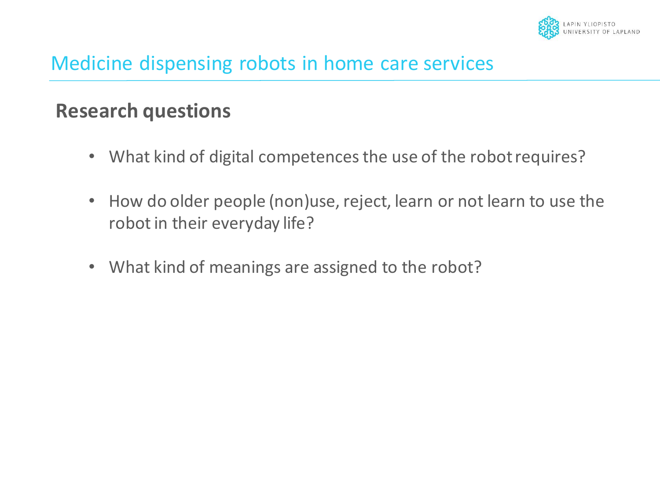

#### Medicine dispensing robots in home care services

#### **Research questions**

- What kind of digital competences the use of the robot requires?
- How do older people (non)use, reject, learn or not learn to use the robot in their everyday life?
- What kind of meanings are assigned to the robot?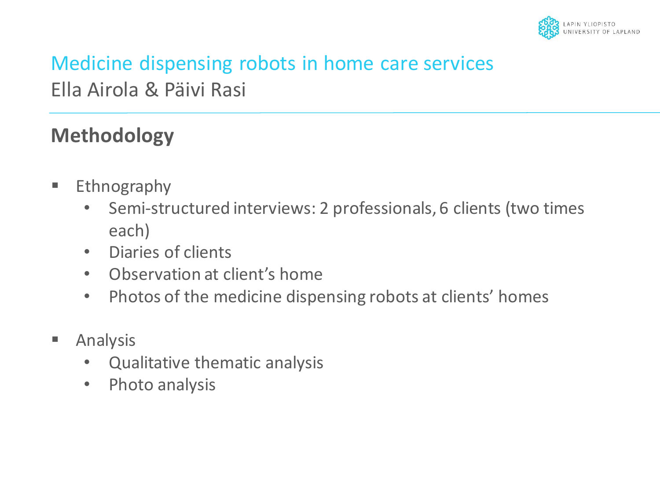

# Medicine dispensing robots in home care services Ella Airola & Päivi Rasi

## **Methodology**

- Ethnography
	- Semi-structured interviews: 2 professionals, 6 clients (two times each)
	- Diaries of clients
	- Observation at client's home
	- Photos of the medicine dispensing robots at clients' homes
- Analysis
	- Qualitative thematic analysis
	- Photo analysis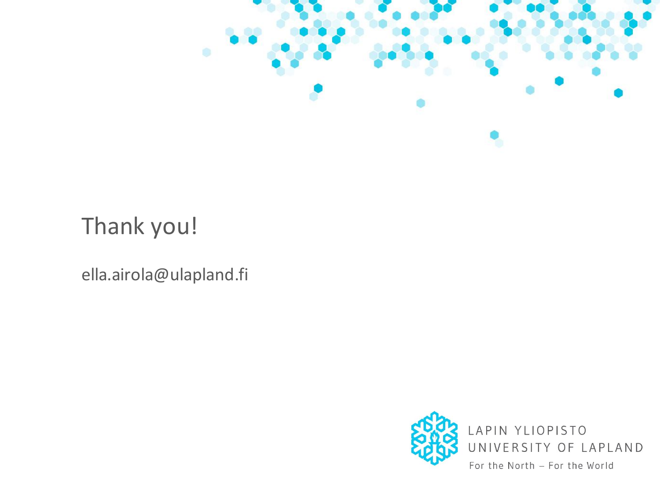

Thank you!

ella.airola@ulapland.fi

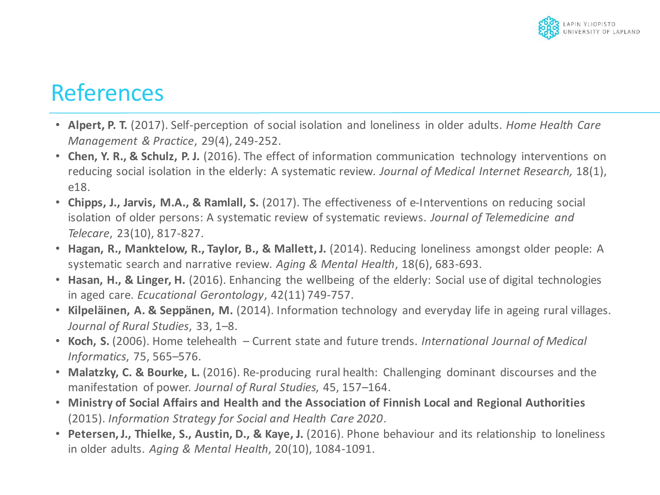

# References

- **Alpert, P. T.** (2017). Self-perception of social isolation and loneliness in older adults. *Home Health Care Management & Practice*, 29(4), 249-252.
- **Chen, Y. R., & Schulz, P. J.** (2016). The effect of information communication technology interventions on reducing social isolation in the elderly: A systematic review. *Journal of Medical Internet Research,* 18(1), e18.
- **Chipps, J., Jarvis, M.A., & Ramlall, S.** (2017). The effectiveness of e-Interventions on reducing social isolation of older persons: A systematic review of systematic reviews. *Journal of Telemedicine and Telecare*, 23(10), 817-827.
- **Hagan, R., Manktelow, R., Taylor, B., & Mallett, J.** (2014). Reducing loneliness amongst older people: A systematic search and narrative review. *Aging & Mental Health*, 18(6), 683-693.
- **Hasan, H., & Linger, H.** (2016). Enhancing the wellbeing of the elderly: Social use of digital technologies in aged care. *Ecucational Gerontology*, 42(11) 749-757.
- **Kilpeläinen, A. & Seppänen, M.** (2014). Information technology and everyday life in ageing rural villages. *Journal of Rural Studies*, 33, 1–8.
- **Koch, S.** (2006). Home telehealth Current state and future trends. *International Journal of Medical Informatics*, 75, 565–576.
- **Malatzky, C. & Bourke, L.** (2016). Re-producing rural health: Challenging dominant discourses and the manifestation of power. *Journal of Rural Studies*, 45, 157–164.
- **Ministry of Social Affairs and Health and the Association of Finnish Local and Regional Authorities**  (2015). *Information Strategy for Social and Health Care 2020.*
- **Petersen, J., Thielke, S., Austin, D., & Kaye, J.** (2016). Phone behaviour and its relationship to loneliness in older adults. *Aging & Mental Health*, 20(10), 1084-1091.